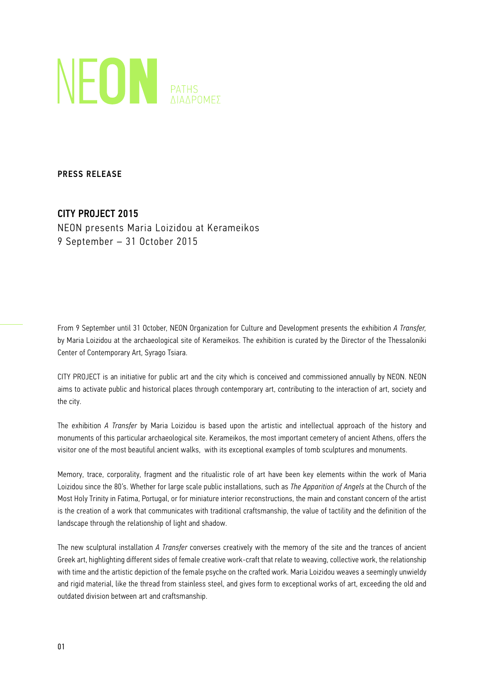

PRESS RELEASE

# CITY PROJECT 2015

NEON presents Maria Loizidou at Kerameikos 9 September – 31 October 2015

From 9 September until 31 October, NEON Organization for Culture and Development presents the exhibition *A Transfer,*  by Maria Loizidou at the archaeological site of Kerameikos. The exhibition is curated by the Director of the Thessaloniki Center of Contemporary Art, Syrago Tsiara.

CITY PROJECT is an initiative for public art and the city which is conceived and commissioned annually by NEON. NEON aims to activate public and historical places through contemporary art, contributing to the interaction of art, society and the city.

The exhibition *A Transfer* by Maria Loizidou is based upon the artistic and intellectual approach of the history and monuments of this particular archaeological site. Kerameikos, the most important cemetery of ancient Athens, offers the visitor one of the most beautiful ancient walks, with its exceptional examples of tomb sculptures and monuments.

Memory, trace, corporality, fragment and the ritualistic role of art have been key elements within the work of Maria Loizidou since the 80's. Whether for large scale public installations, such as *The Apparition of Angels* at the Church of the Most Holy Trinity in Fatima, Portugal, or for miniature interior reconstructions, the main and constant concern of the artist is the creation of a work that communicates with traditional craftsmanship, the value of tactility and the definition of the landscape through the relationship of light and shadow.

The new sculptural installation *A Transfer* converses creatively with the memory of the site and the trances of ancient Greek art, highlighting different sides of female creative work-craft that relate to weaving, collective work, the relationship with time and the artistic depiction of the female psyche on the crafted work. Maria Loizidou weaves a seemingly unwieldy and rigid material, like the thread from stainless steel, and gives form to exceptional works of art, exceeding the old and outdated division between art and craftsmanship.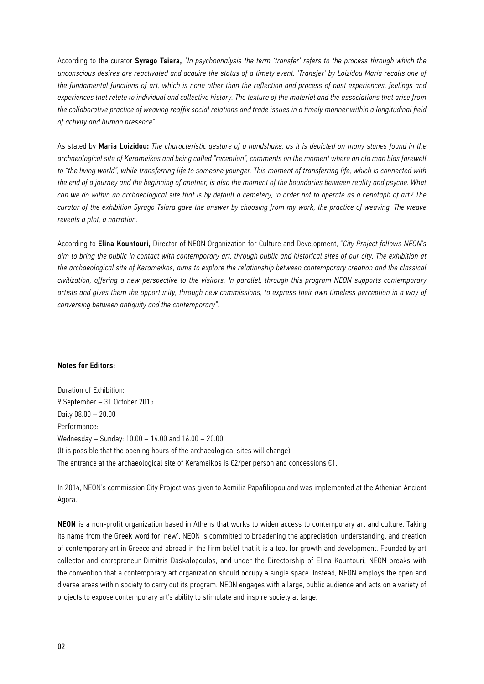According to the curator Syrago Tsiara, *"In psychoanalysis the term 'transfer' refers to the process through which the unconscious desires are reactivated and acquire the status of a timely event. 'Transfer' by Loizidou Maria recalls one of the fundamental functions of art, which is none other than the reflection and process of past experiences, feelings and experiences that relate to individual and collective history. The texture of the material and the associations that arise from the collaborative practice of weaving reaffix social relations and trade issues in a timely manner within a longitudinal field of activity and human presence".*

As stated by Maria Loizidou: *The characteristic gesture of a handshake, as it is depicted on many stones found in the archaeological site of Kerameikos and being called "reception", comments on the moment where an old man bids farewell to "the living world", while transferring life to someone younger. This moment of transferring life, which is connected with the end of a journey and the beginning of another, is also the moment of the boundaries between reality and psyche. What can we do within an archaeological site that is by default a cemetery, in order not to operate as a cenotaph of art? The curator of the exhibition Syrago Tsiara gave the answer by choosing from my work, the practice of weaving. The weave reveals a plot, a narration.*

According to Elina Kountouri, Director of NEON Organization for Culture and Development, "*City Project follows NEON's aim to bring the public in contact with contemporary art, through public and historical sites of our city. The exhibition at the archaeological site of Kerameikos, aims to explore the relationship between contemporary creation and the classical civilization, offering a new perspective to the visitors. In parallel, through this program NEON supports contemporary artists and gives them the opportunity, through new commissions, to express their own timeless perception in a way of conversing between antiquity and the contemporary".*

### Notes for Editors:

Duration of Exhibition: 9 September – 31 October 2015 Daily 08.00 – 20.00 Performance: Wednesday – Sunday: 10.00 – 14.00 and 16.00 – 20.00 (It is possible that the opening hours of the archaeological sites will change) The entrance at the archaeological site of Kerameikos is  $E2/per$  person and concessions  $E1$ .

In 2014, NEON's commission City Project was given to Aemilia Papafilippou and was implemented at the Athenian Ancient Agora.

ΝΕΟΝ is a non-profit organization based in Athens that works to widen access to contemporary art and culture. Taking its name from the Greek word for 'new', NEON is committed to broadening the appreciation, understanding, and creation of contemporary art in Greece and abroad in the firm belief that it is a tool for growth and development. Founded by art collector and entrepreneur Dimitris Daskalopoulos, and under the Directorship of Elina Kountouri, NEON breaks with the convention that a contemporary art organization should occupy a single space. Instead, NEON employs the open and diverse areas within society to carry out its program. NEON engages with a large, public audience and acts on a variety of projects to expose contemporary art's ability to stimulate and inspire society at large.